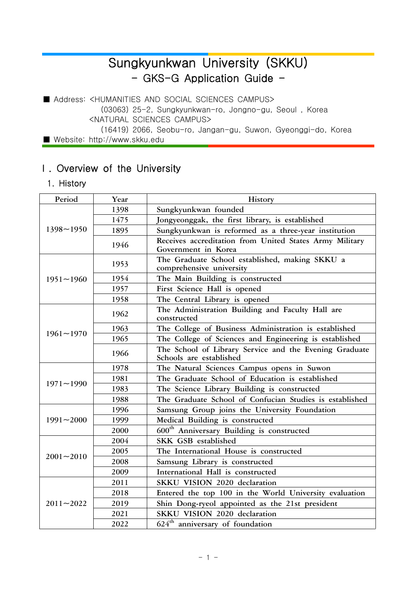# Sungkyunkwan University (SKKU) - GKS-G Application Guide -

■ Address: <HUMANITIES AND SOCIAL SCIENCES CAMPUS> (03063) 25-2, Sungkyunkwan-ro, Jongno-gu, Seoul , Korea <NATURAL SCIENCES CAMPUS> (16419) 2066, Seobu-ro, Jangan-gu, Suwon, Gyeonggi-do, Korea ■ Website: http://www.skku.edu

# Ⅰ. Overview of the University

1. History

| Period        | Year | History                                                                           |  |  |  |  |  |  |
|---------------|------|-----------------------------------------------------------------------------------|--|--|--|--|--|--|
|               | 1398 | Sungkyunkwan founded                                                              |  |  |  |  |  |  |
|               | 1475 | Jongyeonggak, the first library, is established                                   |  |  |  |  |  |  |
| $1398 - 1950$ | 1895 | Sungkyunkwan is reformed as a three-year institution                              |  |  |  |  |  |  |
|               | 1946 | Receives accreditation from United States Army Military<br>Government in Korea    |  |  |  |  |  |  |
|               | 1953 | The Graduate School established, making SKKU a<br>comprehensive university        |  |  |  |  |  |  |
| $1951 - 1960$ | 1954 | The Main Building is constructed                                                  |  |  |  |  |  |  |
|               | 1957 | First Science Hall is opened                                                      |  |  |  |  |  |  |
|               | 1958 | The Central Library is opened                                                     |  |  |  |  |  |  |
|               | 1962 | The Administration Building and Faculty Hall are<br>constructed                   |  |  |  |  |  |  |
| $1961 - 1970$ | 1963 | The College of Business Administration is established                             |  |  |  |  |  |  |
|               | 1965 | The College of Sciences and Engineering is established                            |  |  |  |  |  |  |
|               | 1966 | The School of Library Service and the Evening Graduate<br>Schools are established |  |  |  |  |  |  |
|               | 1978 | The Natural Sciences Campus opens in Suwon                                        |  |  |  |  |  |  |
|               | 1981 | The Graduate School of Education is established                                   |  |  |  |  |  |  |
| $1971 - 1990$ | 1983 | The Science Library Building is constructed                                       |  |  |  |  |  |  |
|               | 1988 | The Graduate School of Confucian Studies is established                           |  |  |  |  |  |  |
|               | 1996 | Samsung Group joins the University Foundation                                     |  |  |  |  |  |  |
| $1991 - 2000$ | 1999 | Medical Building is constructed                                                   |  |  |  |  |  |  |
|               | 2000 | 600 <sup>th</sup> Anniversary Building is constructed                             |  |  |  |  |  |  |
|               | 2004 | SKK GSB established                                                               |  |  |  |  |  |  |
| $2001 - 2010$ | 2005 | The International House is constructed                                            |  |  |  |  |  |  |
|               | 2008 | Samsung Library is constructed                                                    |  |  |  |  |  |  |
|               | 2009 | International Hall is constructed                                                 |  |  |  |  |  |  |
|               | 2011 | SKKU VISION 2020 declaration                                                      |  |  |  |  |  |  |
|               | 2018 | Entered the top 100 in the World University evaluation                            |  |  |  |  |  |  |
| $2011 - 2022$ | 2019 | Shin Dong-ryeol appointed as the 21st president                                   |  |  |  |  |  |  |
|               | 2021 | SKKU VISION 2020 declaration                                                      |  |  |  |  |  |  |
|               | 2022 | $624th$ anniversary of foundation                                                 |  |  |  |  |  |  |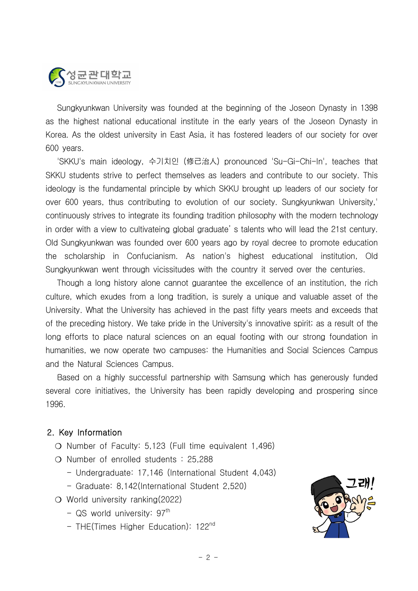

 Sungkyunkwan University was founded at the beginning of the Joseon Dynasty in 1398 as the highest national educational institute in the early years of the Joseon Dynasty in Korea. As the oldest university in East Asia, it has fostered leaders of our society for over 600 years.

 'SKKU's main ideology, 수기치인 (修己治人) pronounced 'Su-Gi-Chi-In', teaches that SKKU students strive to perfect themselves as leaders and contribute to our society. This ideology is the fundamental principle by which SKKU brought up leaders of our society for over 600 years, thus contributing to evolution of our society. Sungkyunkwan University,' continuously strives to integrate its founding tradition philosophy with the modern technology in order with a view to cultivateing global graduate' s talents who will lead the 21st century. Old Sungkyunkwan was founded over 600 years ago by royal decree to promote education the scholarship in Confucianism. As nation's highest educational institution, Old Sungkyunkwan went through vicissitudes with the country it served over the centuries.

 Though a long history alone cannot guarantee the excellence of an institution, the rich culture, which exudes from a long tradition, is surely a unique and valuable asset of the University. What the University has achieved in the past fifty years meets and exceeds that of the preceding history. We take pride in the University's innovative spirit; as a result of the long efforts to place natural sciences on an equal footing with our strong foundation in humanities, we now operate two campuses: the Humanities and Social Sciences Campus and the Natural Sciences Campus.

 Based on a highly successful partnership with Samsung which has generously funded several core initiatives, the University has been rapidly developing and prospering since 1996.

#### 2. Key Information

- ❍ Number of Faculty: 5,123 (Full time equivalent 1,496)
- ❍ Number of enrolled students : 25,288
	- Undergraduate: 17,146 (International Student 4,043)
	- Graduate: 8,142(International Student 2,520)
- ❍ World university ranking(2022)
	- QS world university:  $97<sup>th</sup>$
	- THE(Times Higher Education): 122<sup>nd</sup>

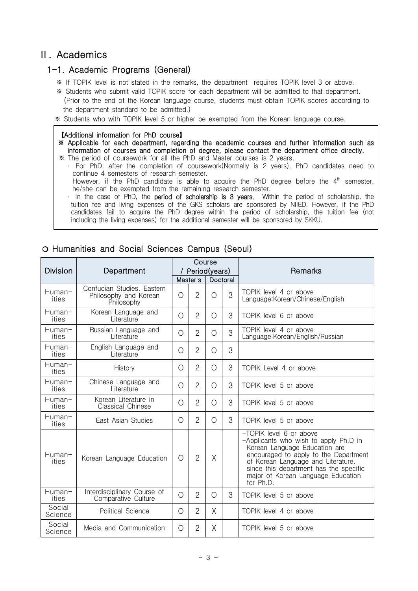# Ⅱ. Academics

#### 1-1. Academic Programs (General)

- ※ If TOPIK level is not stated in the remarks, the department requires TOPIK level 3 or above.
- ※ Students who submit valid TOPIK score for each department will be admitted to that department. (Prior to the end of the Korean language course, students must obtain TOPIK scores according to the department standard to be admitted.)
- ※ Students who with TOPIK level 5 or higher be exempted from the Korean language course.

#### 【Additional information for PhD course】

- ※ Applicable for each department, regarding the academic courses and further information such as information of courses and completion of degree, please contact the department office directly.
- ※ The period of coursework for all the PhD and Master courses is 2 years.
	- ・ For PhD, after the completion of coursework(Normally is 2 years), PhD candidates need to continue 4 semesters of research semester.
		- However, if the PhD candidate is able to acquire the PhD degree before the  $4^{\text{th}}$  semester,  $|$ he/she can be exempted from the remaining research semester.
	- In the case of PhD, the **period of scholarship is 3 years.** Within the period of scholarship, the tuition fee and living expenses of the GKS scholars are sponsored by NIIED. However, if the PhD candidates fail to acquire the PhD degree within the period of scholarship, the tuition fee (not including the living expenses) for the additional semester will be sponsored by SKKU.

| <b>Division</b>   | Course<br>Period(years)<br>Department                             |                      |                | Remarks    |   |                                                                                                                                                                                                                                                                               |  |
|-------------------|-------------------------------------------------------------------|----------------------|----------------|------------|---|-------------------------------------------------------------------------------------------------------------------------------------------------------------------------------------------------------------------------------------------------------------------------------|--|
|                   |                                                                   | Master's<br>Doctoral |                |            |   |                                                                                                                                                                                                                                                                               |  |
| Human-<br>ities   | Confucian Studies, Eastern<br>Philosophy and Korean<br>Philosophy | $\bigcirc$           | $\overline{2}$ | $\bigcirc$ | 3 | TOPIK level 4 or above<br>Language:Korean/Chinese/English                                                                                                                                                                                                                     |  |
| Human-<br>ities   | Korean Language and<br>Literature                                 | $\bigcirc$           | $\overline{2}$ | $\bigcirc$ | 3 | TOPIK level 6 or above                                                                                                                                                                                                                                                        |  |
| Human-<br>ities   | Russian Language and<br>Literature                                | $\bigcirc$           | $\overline{2}$ | $\bigcirc$ | 3 | TOPIK level 4 or above<br>Language: Korean/English/Russian                                                                                                                                                                                                                    |  |
| Human-<br>ities   | English Language and<br>Literature                                | $\bigcirc$           | $\overline{2}$ | ∩          | 3 |                                                                                                                                                                                                                                                                               |  |
| Human-<br>ities   | History                                                           | $\bigcirc$           | $\overline{2}$ | $\bigcirc$ | 3 | TOPIK Level 4 or above                                                                                                                                                                                                                                                        |  |
| Human-<br>ities   | Chinese Language and<br>Literature                                | $\bigcirc$           | $\overline{2}$ | $\bigcirc$ | 3 | TOPIK level 5 or above                                                                                                                                                                                                                                                        |  |
| Human-<br>ities   | Korean Literature in<br>Classical Chinese                         | $\bigcirc$           | $\overline{2}$ | $\bigcirc$ | 3 | TOPIK level 5 or above                                                                                                                                                                                                                                                        |  |
| Human-<br>ities   | East Asian Studies                                                | $\bigcirc$           | $\overline{2}$ | $\bigcirc$ | 3 | TOPIK level 5 or above                                                                                                                                                                                                                                                        |  |
| Human-<br>ities   | Korean Language Education                                         | $\bigcirc$           | $\overline{2}$ | X          |   | -TOPIK level 6 or above<br>-Applicants who wish to apply Ph.D in<br>Korean Language Education are<br>encouraged to apply to the Department<br>of Korean Language and Literature,<br>since this department has the specific<br>major of Korean Language Education<br>for Ph.D. |  |
| Human-<br>ities   | Interdisciplinary Course of<br>Comparative Culture                | O                    | $\overline{2}$ | $\bigcirc$ | 3 | TOPIK level 5 or above                                                                                                                                                                                                                                                        |  |
| Social<br>Science | Political Science                                                 | $\bigcirc$           | $\overline{2}$ | $\times$   |   | TOPIK level 4 or above                                                                                                                                                                                                                                                        |  |
| Social<br>Science | Media and Communication                                           | $\bigcirc$           | $\overline{2}$ | X          |   | TOPIK level 5 or above                                                                                                                                                                                                                                                        |  |

#### ❍ Humanities and Social Sciences Campus (Seoul)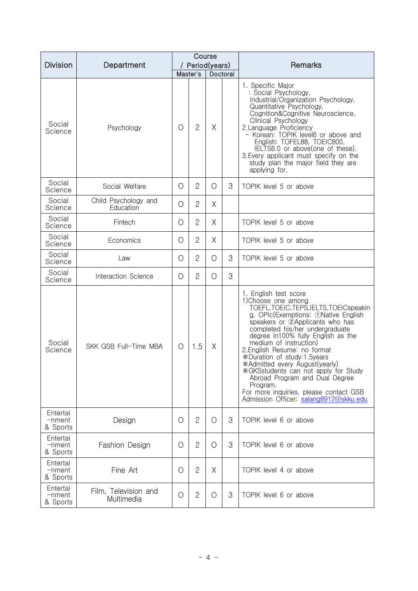|                                   |                                    | Course     |                |                 |          |                                                                                                                                                                                                                                                                                                                                                                                                                                                                                                                                                  |  |
|-----------------------------------|------------------------------------|------------|----------------|-----------------|----------|--------------------------------------------------------------------------------------------------------------------------------------------------------------------------------------------------------------------------------------------------------------------------------------------------------------------------------------------------------------------------------------------------------------------------------------------------------------------------------------------------------------------------------------------------|--|
| <b>Division</b>                   | Department                         |            |                | / Period(years) |          | Remarks                                                                                                                                                                                                                                                                                                                                                                                                                                                                                                                                          |  |
|                                   |                                    |            | Master's       |                 | Doctoral |                                                                                                                                                                                                                                                                                                                                                                                                                                                                                                                                                  |  |
| Social<br>Science                 | Psychology                         | $\bigcirc$ | $\mathbf{2}$   | Χ               |          | 1. Specific Major<br>: Social Psychology,<br>Industrial/Organization Psychology,<br>Quantitative Psychology,<br>Cognition&Cognitive Neuroscience,<br>Clinical Psychology<br>2. Language Proficiency<br>- Korean: TOPIK level6 or above and<br>English: TOFEL88, TOEIC800,<br>IELTS6.0 or above(one of these).<br>3. Every applicant must specify on the<br>study plan the major field they are<br>applying for.                                                                                                                                  |  |
| Social<br>Science                 | Social Welfare                     | $\bigcirc$ | $\overline{2}$ | $\bigcirc$      | 3        | TOPIK level 5 or above                                                                                                                                                                                                                                                                                                                                                                                                                                                                                                                           |  |
| Social<br>Science                 | Child Psychology and<br>Education  | O          | $\mathbf{2}$   | Χ               |          |                                                                                                                                                                                                                                                                                                                                                                                                                                                                                                                                                  |  |
| Social<br>Science                 | Fintech                            | $\circ$    | $\overline{c}$ | X               |          | TOPIK level 5 or above                                                                                                                                                                                                                                                                                                                                                                                                                                                                                                                           |  |
| Social<br>Science                 | Economics                          | O          | $\overline{c}$ | X               |          | TOPIK level 5 or above                                                                                                                                                                                                                                                                                                                                                                                                                                                                                                                           |  |
| Social<br>Science                 | Law                                | O          | $\overline{2}$ | $\bigcirc$      | 3        | TOPIK level 5 or above                                                                                                                                                                                                                                                                                                                                                                                                                                                                                                                           |  |
| Social<br>Science                 | Interaction Science                | $\circ$    | $\overline{2}$ | O               | 3        |                                                                                                                                                                                                                                                                                                                                                                                                                                                                                                                                                  |  |
| Social<br>Science                 | SKK GSB Full-Time MBA              | O          | 1.5            | Χ               |          | 1. English test score<br>1) Choose one among<br>TOEFL, TOEIC, TEPS, IELTS, TOEICspeakin<br>g, OPIc(Exemptions: 1)Native English<br>speakers or 2Applicants who has<br>completed his/her undergraduate<br>degree in100% fully English as the<br>medium of instruction)<br>2. English Resume: no format<br>*Duration of study:1.5years<br>*Admitted every August(yearly)<br>*GKSstudents can not apply for Study<br>Abroad Program and Dual Degree<br>Program.<br>For more inquiries, please contact GSB<br>Admission Officer: salang8912@skku.edu |  |
| Entertai<br>-nment<br>& Sports    | Design                             | O          | $\mathbf{2}$   | O               | 3        | TOPIK level 6 or above                                                                                                                                                                                                                                                                                                                                                                                                                                                                                                                           |  |
| Entertai<br>$-$ nment<br>& Sports | Fashion Design                     | O          | $\overline{2}$ | O               | 3        | TOPIK level 6 or above                                                                                                                                                                                                                                                                                                                                                                                                                                                                                                                           |  |
| Entertai<br>$-$ nment<br>& Sports | Fine Art                           | O          | $\mathbf{2}$   | Χ               |          | TOPIK level 4 or above                                                                                                                                                                                                                                                                                                                                                                                                                                                                                                                           |  |
| Entertai<br>-nment<br>& Sports    | Film, Television and<br>Multimedia | O          | $\mathbf{2}$   | O               | 3        | TOPIK level 6 or above                                                                                                                                                                                                                                                                                                                                                                                                                                                                                                                           |  |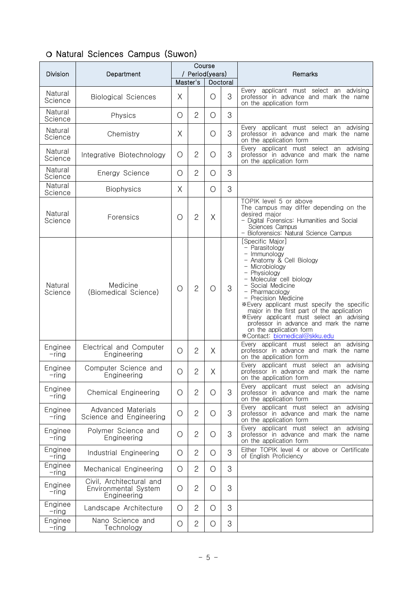| <b>Division</b>     | Department                                                      | Course<br>/ Period(years) |                       |            | Remarks |                                                                                                                                                                                                                                                                                                                                                                                                                                                           |
|---------------------|-----------------------------------------------------------------|---------------------------|-----------------------|------------|---------|-----------------------------------------------------------------------------------------------------------------------------------------------------------------------------------------------------------------------------------------------------------------------------------------------------------------------------------------------------------------------------------------------------------------------------------------------------------|
|                     |                                                                 |                           | Master's              | Doctoral   |         |                                                                                                                                                                                                                                                                                                                                                                                                                                                           |
| Natural<br>Science  | <b>Biological Sciences</b>                                      | Χ                         |                       | O          | 3       | Every applicant must select an advising<br>professor in advance and mark the name<br>on the application form                                                                                                                                                                                                                                                                                                                                              |
| Natural<br>Science  | Physics                                                         | O                         | $\mathbf{2}^{\prime}$ | $\bigcirc$ | 3       |                                                                                                                                                                                                                                                                                                                                                                                                                                                           |
| Natural<br>Science  | Chemistry                                                       | Χ                         |                       | O          | 3       | Every applicant must select an advising<br>professor in advance and mark the name<br>on the application form                                                                                                                                                                                                                                                                                                                                              |
| Natural<br>Science  | Integrative Biotechnology                                       | $\bigcirc$                | $\overline{2}$        | O          | 3       | Every applicant must select an advising<br>professor in advance and mark the name<br>on the application form                                                                                                                                                                                                                                                                                                                                              |
| Natural<br>Science  | Energy Science                                                  | O                         | $\mathbf{2}$          | O          | 3       |                                                                                                                                                                                                                                                                                                                                                                                                                                                           |
| Natural<br>Science  | <b>Biophysics</b>                                               | Χ                         |                       | $\bigcirc$ | 3       |                                                                                                                                                                                                                                                                                                                                                                                                                                                           |
| Natural<br>Science  | Forensics                                                       | $\circ$                   | $\mathbf{2}$          | Χ          |         | TOPIK level 5 or above<br>The campus may differ depending on the<br>desired major<br>- Digital Forensics: Humanities and Social<br><b>Sciences Campus</b><br>Bioforensics: Natural Science Campus                                                                                                                                                                                                                                                         |
| Natural<br>Science  | Medicine<br>(Biomedical Science)                                | $\circ$                   | $\overline{2}$        | O          | 3       | [Specific Major]<br>- Parasitology<br>- Immunology<br>- Anatomy & Cell Biology<br>- Microbiology<br>- Physiology<br>- Molecular cell biology<br>- Social Medicine<br>- Pharmacology<br>- Precision Medicine<br>*Every applicant must specify the specific<br>major in the first part of the application<br>*Every applicant must select an advising<br>professor in advance and mark the name<br>on the application form<br>*Contact: biomedical@skku.edu |
| Enginee<br>$-$ ring | Electrical and Computer<br>Engineering                          | O                         | $\overline{2}$        | X          |         | Every applicant must select an advising<br>professor in advance and mark the name<br>on the application form                                                                                                                                                                                                                                                                                                                                              |
| Enginee<br>-ring    | Computer Science and<br>Engineering                             | $\bigcirc$                | $\overline{c}$        | X          |         | Every applicant must select an advising<br>professor in advance and mark the name<br>on the application form                                                                                                                                                                                                                                                                                                                                              |
| Enginee<br>$-$ ring | Chemical Engineering                                            | $\circ$                   | $\overline{2}$        | Ő          | 3       | Every applicant must select an advising<br>professor in advance and mark the name<br>on the application form                                                                                                                                                                                                                                                                                                                                              |
| Enginee<br>$-$ ring | Advanced Materials<br>Science and Engineering                   | $\bigcirc$                | $\mathbf{2}$          | O          | 3       | Every applicant must select an advising<br>professor in advance and mark the name<br>on the application form                                                                                                                                                                                                                                                                                                                                              |
| Enginee<br>$-$ ring | Polymer Science and<br>Engineering                              | $\bigcirc$                | $\mathbf{2}$          | Ő          | 3       | Every applicant must select an advising<br>professor in advance and mark the name<br>on the application form                                                                                                                                                                                                                                                                                                                                              |
| Enginee<br>$-$ ring | Industrial Engineering                                          | $\bigcirc$                | $\mathbf{2}$          | O          | 3       | Either TOPIK level 4 or above or Certificate<br>of English Proficiency                                                                                                                                                                                                                                                                                                                                                                                    |
| Enginee<br>$-$ ring | Mechanical Engineering                                          | O                         | $\overline{2}$        | O          | 3       |                                                                                                                                                                                                                                                                                                                                                                                                                                                           |
| Enginee<br>$-$ ring | Civil, Architectural and<br>Environmental System<br>Engineering | O                         | $\mathbf{2}$          | O          | 3       |                                                                                                                                                                                                                                                                                                                                                                                                                                                           |
| Enginee<br>$-$ ring | Landscape Architecture                                          | O                         | $\mathbf{2}$          | O          | 3       |                                                                                                                                                                                                                                                                                                                                                                                                                                                           |
| Enginee<br>$-$ ring | Nano Science and<br>Technology                                  | $\bigcirc$                | $\mathbf{2}$          | $\bigcirc$ | 3       |                                                                                                                                                                                                                                                                                                                                                                                                                                                           |

# ❍ Natural Sciences Campus (Suwon)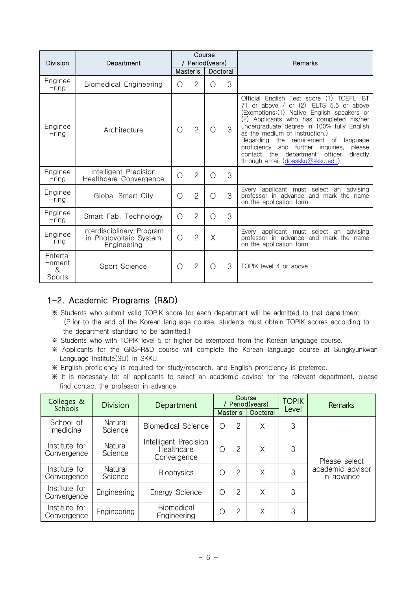| <b>Division</b>                   | Department                                                         |   | Course<br>Period(years) |   |          | Remarks                                                                                                                                                                                                                                                                                                                                                                                                                                                           |
|-----------------------------------|--------------------------------------------------------------------|---|-------------------------|---|----------|-------------------------------------------------------------------------------------------------------------------------------------------------------------------------------------------------------------------------------------------------------------------------------------------------------------------------------------------------------------------------------------------------------------------------------------------------------------------|
|                                   |                                                                    |   | Master's                |   | Doctoral |                                                                                                                                                                                                                                                                                                                                                                                                                                                                   |
| Enginee<br>-rina                  | <b>Biomedical Engineering</b>                                      | Ω | $\overline{2}$          | ∩ | 3        |                                                                                                                                                                                                                                                                                                                                                                                                                                                                   |
| Enginee<br>$-$ ring               | Architecture                                                       | О | $\overline{2}$          | Ω | 3        | Official English Test score (1) TOEFL IBT<br>or above $/$ or $(2)$ IELTS 5.5 or above<br>71<br>(Exemptions: (1) Native English speakers or<br>(2) Applicants who has completed his/her<br>undergraduate degree in 100% fully English<br>as the medium of instruction.)<br>Regarding<br>the requirement of<br>language<br>please<br>proficiency<br>and further inquiries,<br>department officer<br>contact<br>the<br>directly<br>through email (doaskku@skku.edu). |
| Enginee<br>-ring                  | Intelligent Precision<br>Healthcare Convergence                    | O | $\overline{2}$          | ∩ | 3        |                                                                                                                                                                                                                                                                                                                                                                                                                                                                   |
| Enginee<br>-rina                  | Global Smart City                                                  | Ω | $\overline{2}$          | ∩ | 3        | Every applicant must select an advising<br>professor in advance and mark the name<br>on the application form                                                                                                                                                                                                                                                                                                                                                      |
| Enginee<br>-ring                  | Smart Fab. Technology                                              | Ο | $\mathbf{2}$            | Ω | 3        |                                                                                                                                                                                                                                                                                                                                                                                                                                                                   |
| Enginee<br>-ring                  | Interdisciplinary Program<br>in Photovoltaic System<br>Engineering | Ω | $\overline{2}$          | X |          | Every applicant must select an advising<br>professor in advance and mark the name<br>on the application form                                                                                                                                                                                                                                                                                                                                                      |
| Entertai<br>-nment<br>&<br>Sports | Sport Science                                                      | Ω | $\overline{2}$          | Ω | 3        | TOPIK level 4 or above                                                                                                                                                                                                                                                                                                                                                                                                                                            |

#### 1-2. Academic Programs (R&D)

- ※ Students who submit valid TOPIK score for each department will be admitted to that department. (Prior to the end of the Korean language course, students must obtain TOPIK scores according to the department standard to be admitted.)
- ※ Students who with TOPIK level 5 or higher be exempted from the Korean language course.
- ※ Applicants for the GKS-R&D course will complete the Korean language course at Sungkyunkwan Language Institute(SLI) in SKKU.
- ※ English proficiency is required for study/research, and English proficiency is preferred.
- ※ It is necessary for all applicants to select an academic advisor for the relevant department, please find contact the professor in advance.

| Colleges &<br><b>Schools</b> | <b>Division</b>    | Department                                         |            |                | Course<br>Period(years) | <b>TOPIK</b> | <b>Remarks</b>                 |  |
|------------------------------|--------------------|----------------------------------------------------|------------|----------------|-------------------------|--------------|--------------------------------|--|
|                              |                    |                                                    |            | Master's       | Doctoral                | Level        |                                |  |
| School of<br>medicine        | Natural<br>Science | <b>Biomedical Science</b>                          | $\bigcirc$ | $\overline{2}$ | X                       | 3            |                                |  |
| Institute for<br>Convergence | Natural<br>Science | Intelligent Precision<br>Healthcare<br>Convergence | O          | $\overline{2}$ | X                       | 3            | Please select                  |  |
| Institute for<br>Convergence | Natural<br>Science | <b>Biophysics</b>                                  | O          | $\mathbf{2}$   | X                       | 3            | academic advisor<br>in advance |  |
| Institute for<br>Convergence | Engineering        | Energy Science                                     | $\bigcap$  | 2              | X                       | 3            |                                |  |
| Institute for<br>Convergence | Engineering        | Biomedical<br>Engineering                          | С          | $\mathbf{2}$   | X                       | 3            |                                |  |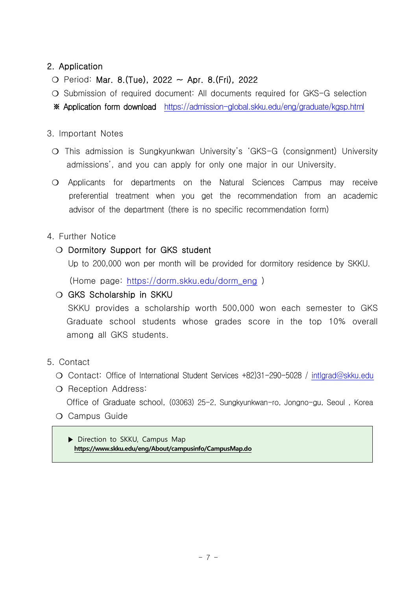### 2. Application

- ❍ Period: Mar. 8.(Tue), 2022 ~ Apr. 8.(Fri), 2022
- ❍ Submission of required document: All documents required for GKS-G selection
- ※ Application form download https://admission-global.skku.edu/eng/graduate/kgsp.html

#### 3. Important Notes

- ❍ This admission is Sungkyunkwan University's 'GKS-G (consignment) University admissions', and you can apply for only one major in our University.
- ❍ Applicants for departments on the Natural Sciences Campus may receive preferential treatment when you get the recommendation from an academic advisor of the department (there is no specific recommendation form)

#### 4. Further Notice

❍ Dormitory Support for GKS student

Up to 200,000 won per month will be provided for dormitory residence by SKKU.

(Home page: https://dorm.skku.edu/dorm\_eng )

#### ❍ GKS Scholarship in SKKU

 SKKU provides a scholarship worth 500,000 won each semester to GKS Graduate school students whose grades score in the top 10% overall among all GKS students.

and the

- 5. Contact ❍ Contact: Office of International Student Services +82)31-290-5028 / [intlgrad@skku.edu](mailto:intlgrad@skku.edu)
	- ❍ Reception Address:

Office of Graduate school, (03063) 25-2, Sungkyunkwan-ro, Jongno-gu, Seoul , Korea

❍ Campus Guide

▶ Direction to SKKU, Campus Map  **https://www.skku.edu/eng/About/campusinfo/CampusMap.do**